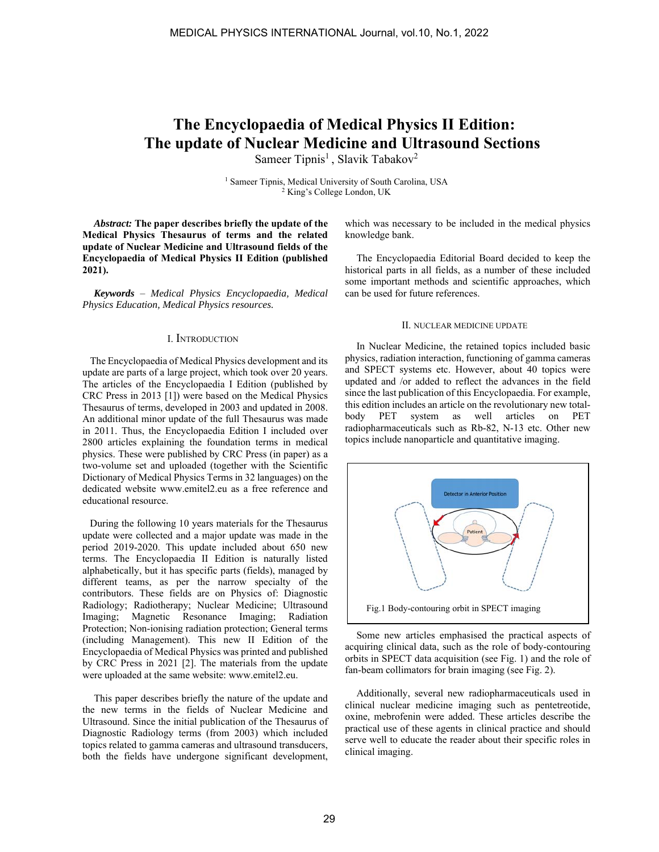# **The Encyclopaedia of Medical Physics II Edition: The update of Nuclear Medicine and Ultrasound Sections**

Sameer Tipnis<sup>1</sup>, Slavik Tabakov<sup>2</sup>

<sup>1</sup> Sameer Tipnis, Medical University of South Carolina, USA<br><sup>2</sup> King's College London, UK

*Abstract:* **The paper describes briefly the update of the Medical Physics Thesaurus of terms and the related update of Nuclear Medicine and Ultrasound fields of the Encyclopaedia of Medical Physics II Edition (published 2021).**

*Keywords* – *Medical Physics Encyclopaedia, Medical Physics Education, Medical Physics resources.*

#### I. INTRODUCTION

 The Encyclopaedia of Medical Physics development and its update are parts of a large project, which took over 20 years. The articles of the Encyclopaedia I Edition (published by CRC Press in 2013 [1]) were based on the Medical Physics Thesaurus of terms, developed in 2003 and updated in 2008. An additional minor update of the full Thesaurus was made in 2011. Thus, the Encyclopaedia Edition I included over 2800 articles explaining the foundation terms in medical physics. These were published by CRC Press (in paper) as a two-volume set and uploaded (together with the Scientific Dictionary of Medical Physics Terms in 32 languages) on the dedicated website www.emitel2.eu as a free reference and educational resource.

 During the following 10 years materials for the Thesaurus update were collected and a major update was made in the period 2019-2020. This update included about 650 new terms. The Encyclopaedia II Edition is naturally listed alphabetically, but it has specific parts (fields), managed by different teams, as per the narrow specialty of the contributors. These fields are on Physics of: Diagnostic Radiology; Radiotherapy; Nuclear Medicine; Ultrasound Imaging; Magnetic Resonance Imaging; Radiation Protection; Non-ionising radiation protection; General terms (including Management). This new II Edition of the Encyclopaedia of Medical Physics was printed and published by CRC Press in 2021 [2]. The materials from the update were uploaded at the same website: www.emitel2.eu.

This paper describes briefly the nature of the update and the new terms in the fields of Nuclear Medicine and Ultrasound. Since the initial publication of the Thesaurus of Diagnostic Radiology terms (from 2003) which included topics related to gamma cameras and ultrasound transducers, both the fields have undergone significant development, which was necessary to be included in the medical physics knowledge bank.

The Encyclopaedia Editorial Board decided to keep the historical parts in all fields, as a number of these included some important methods and scientific approaches, which can be used for future references.

#### II. NUCLEAR MEDICINE UPDATE

In Nuclear Medicine, the retained topics included basic physics, radiation interaction, functioning of gamma cameras and SPECT systems etc. However, about 40 topics were updated and /or added to reflect the advances in the field since the last publication of this Encyclopaedia. For example, this edition includes an article on the revolutionary new totalbody PET system as well articles on PET radiopharmaceuticals such as Rb-82, N-13 etc. Other new topics include nanoparticle and quantitative imaging.



Some new articles emphasised the practical aspects of acquiring clinical data, such as the role of body-contouring orbits in SPECT data acquisition (see Fig. 1) and the role of fan-beam collimators for brain imaging (see Fig. 2).

Additionally, several new radiopharmaceuticals used in clinical nuclear medicine imaging such as pentetreotide, oxine, mebrofenin were added. These articles describe the practical use of these agents in clinical practice and should serve well to educate the reader about their specific roles in clinical imaging.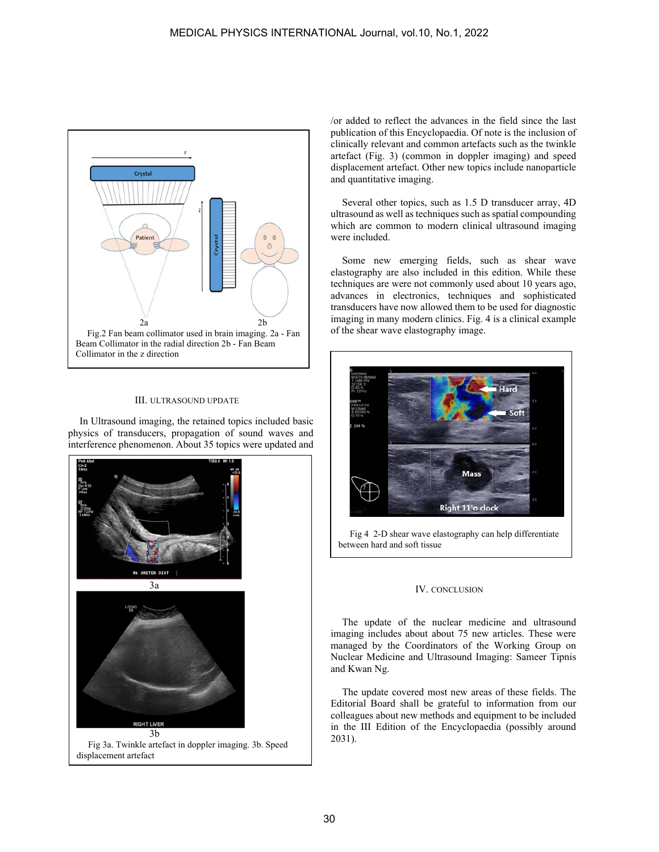

## III. ULTRASOUND UPDATE

In Ultrasound imaging, the retained topics included basic physics of transducers, propagation of sound waves and interference phenomenon. About 35 topics were updated and



/or added to reflect the advances in the field since the last publication of this Encyclopaedia. Of note is the inclusion of clinically relevant and common artefacts such as the twinkle artefact (Fig. 3) (common in doppler imaging) and speed displacement artefact. Other new topics include nanoparticle and quantitative imaging.

Several other topics, such as 1.5 D transducer array, 4D ultrasound as well as techniques such as spatial compounding which are common to modern clinical ultrasound imaging were included.

Some new emerging fields, such as shear wave elastography are also included in this edition. While these techniques are were not commonly used about 10 years ago, advances in electronics, techniques and sophisticated transducers have now allowed them to be used for diagnostic imaging in many modern clinics. Fig. 4 is a clinical example of the shear wave elastography image.



Fig 4 2-D shear wave elastography can help differentiate between hard and soft tissue

## IV. CONCLUSION

The update of the nuclear medicine and ultrasound imaging includes about about 75 new articles. These were managed by the Coordinators of the Working Group on Nuclear Medicine and Ultrasound Imaging: Sameer Tipnis and Kwan Ng.

The update covered most new areas of these fields. The Editorial Board shall be grateful to information from our colleagues about new methods and equipment to be included in the III Edition of the Encyclopaedia (possibly around 2031).